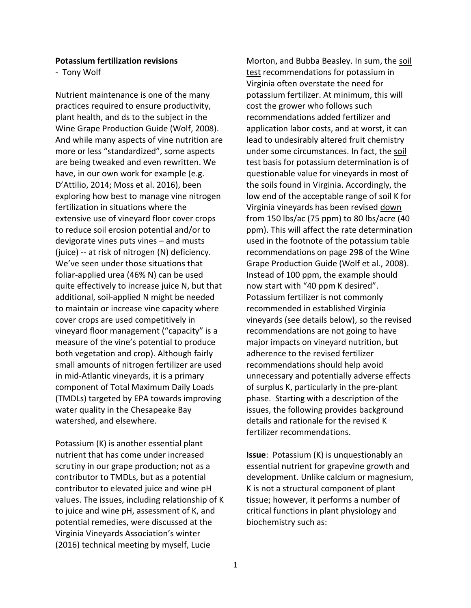## **Potassium fertilization revisions**

- Tony Wolf

Nutrient maintenance is one of the many practices required to ensure productivity, plant health, and ds to the subject in the Wine Grape Production Guide (Wolf, 2008). And while many aspects of vine nutrition are more or less "standardized", some aspects are being tweaked and even rewritten. We have, in our own work for example (e.g. D'Attilio, 2014; Moss et al. 2016), been exploring how best to manage vine nitrogen fertilization in situations where the extensive use of vineyard floor cover crops to reduce soil erosion potential and/or to devigorate vines puts vines – and musts (juice) -- at risk of nitrogen (N) deficiency. We've seen under those situations that foliar-applied urea (46% N) can be used quite effectively to increase juice N, but that additional, soil-applied N might be needed to maintain or increase vine capacity where cover crops are used competitively in vineyard floor management ("capacity" is a measure of the vine's potential to produce both vegetation and crop). Although fairly small amounts of nitrogen fertilizer are used in mid-Atlantic vineyards, it is a primary component of Total Maximum Daily Loads (TMDLs) targeted by EPA towards improving water quality in the Chesapeake Bay watershed, and elsewhere.

Potassium (K) is another essential plant nutrient that has come under increased scrutiny in our grape production; not as a contributor to TMDLs, but as a potential contributor to elevated juice and wine pH values. The issues, including relationship of K to juice and wine pH, assessment of K, and potential remedies, were discussed at the Virginia Vineyards Association's winter (2016) technical meeting by myself, Lucie

Morton, and Bubba Beasley. In sum, the soil test recommendations for potassium in Virginia often overstate the need for potassium fertilizer. At minimum, this will cost the grower who follows such recommendations added fertilizer and application labor costs, and at worst, it can lead to undesirably altered fruit chemistry under some circumstances. In fact, the soil test basis for potassium determination is of questionable value for vineyards in most of the soils found in Virginia. Accordingly, the low end of the acceptable range of soil K for Virginia vineyards has been revised down from 150 lbs/ac (75 ppm) to 80 lbs/acre (40 ppm). This will affect the rate determination used in the footnote of the potassium table recommendations on page 298 of the Wine Grape Production Guide (Wolf et al., 2008). Instead of 100 ppm, the example should now start with "40 ppm K desired". Potassium fertilizer is not commonly recommended in established Virginia vineyards (see details below), so the revised recommendations are not going to have major impacts on vineyard nutrition, but adherence to the revised fertilizer recommendations should help avoid unnecessary and potentially adverse effects of surplus K, particularly in the pre-plant phase. Starting with a description of the issues, the following provides background details and rationale for the revised K fertilizer recommendations.

**Issue**: Potassium (K) is unquestionably an essential nutrient for grapevine growth and development. Unlike calcium or magnesium, K is not a structural component of plant tissue; however, it performs a number of critical functions in plant physiology and biochemistry such as: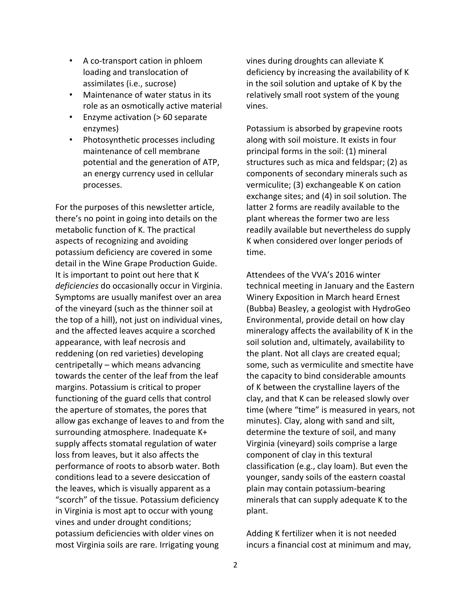- A co-transport cation in phloem loading and translocation of assimilates (i.e., sucrose)
- Maintenance of water status in its role as an osmotically active material
- Enzyme activation (> 60 separate enzymes)
- Photosynthetic processes including maintenance of cell membrane potential and the generation of ATP, an energy currency used in cellular processes.

For the purposes of this newsletter article, there's no point in going into details on the metabolic function of K. The practical aspects of recognizing and avoiding potassium deficiency are covered in some detail in the Wine Grape Production Guide. It is important to point out here that K *deficiencies* do occasionally occur in Virginia. Symptoms are usually manifest over an area of the vineyard (such as the thinner soil at the top of a hill), not just on individual vines, and the affected leaves acquire a scorched appearance, with leaf necrosis and reddening (on red varieties) developing centripetally – which means advancing towards the center of the leaf from the leaf margins. Potassium is critical to proper functioning of the guard cells that control the aperture of stomates, the pores that allow gas exchange of leaves to and from the surrounding atmosphere. Inadequate K+ supply affects stomatal regulation of water loss from leaves, but it also affects the performance of roots to absorb water. Both conditions lead to a severe desiccation of the leaves, which is visually apparent as a "scorch" of the tissue. Potassium deficiency in Virginia is most apt to occur with young vines and under drought conditions; potassium deficiencies with older vines on most Virginia soils are rare. Irrigating young

vines during droughts can alleviate K deficiency by increasing the availability of K in the soil solution and uptake of K by the relatively small root system of the young vines.

Potassium is absorbed by grapevine roots along with soil moisture. It exists in four principal forms in the soil: (1) mineral structures such as mica and feldspar; (2) as components of secondary minerals such as vermiculite; (3) exchangeable K on cation exchange sites; and (4) in soil solution. The latter 2 forms are readily available to the plant whereas the former two are less readily available but nevertheless do supply K when considered over longer periods of time.

Attendees of the VVA's 2016 winter technical meeting in January and the Eastern Winery Exposition in March heard Ernest (Bubba) Beasley, a geologist with HydroGeo Environmental, provide detail on how clay mineralogy affects the availability of K in the soil solution and, ultimately, availability to the plant. Not all clays are created equal; some, such as vermiculite and smectite have the capacity to bind considerable amounts of K between the crystalline layers of the clay, and that K can be released slowly over time (where "time" is measured in years, not minutes). Clay, along with sand and silt, determine the texture of soil, and many Virginia (vineyard) soils comprise a large component of clay in this textural classification (e.g., clay loam). But even the younger, sandy soils of the eastern coastal plain may contain potassium-bearing minerals that can supply adequate K to the plant.

Adding K fertilizer when it is not needed incurs a financial cost at minimum and may,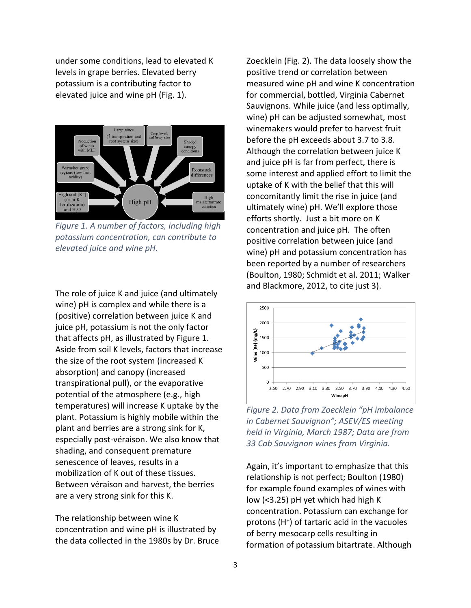under some conditions, lead to elevated K levels in grape berries. Elevated berry potassium is a contributing factor to elevated juice and wine pH (Fig. 1).



*Figure 1. A number of factors, including high potassium concentration, can contribute to elevated juice and wine pH.*

The role of juice K and juice (and ultimately wine) pH is complex and while there is a (positive) correlation between juice K and juice pH, potassium is not the only factor that affects pH, as illustrated by Figure 1. Aside from soil K levels, factors that increase the size of the root system (increased K absorption) and canopy (increased transpirational pull), or the evaporative potential of the atmosphere (e.g., high temperatures) will increase K uptake by the plant. Potassium is highly mobile within the plant and berries are a strong sink for K, especially post-véraison. We also know that shading, and consequent premature senescence of leaves, results in a mobilization of K out of these tissues. Between véraison and harvest, the berries are a very strong sink for this K.

The relationship between wine K concentration and wine pH is illustrated by the data collected in the 1980s by Dr. Bruce Zoecklein (Fig. 2). The data loosely show the positive trend or correlation between measured wine pH and wine K concentration for commercial, bottled, Virginia Cabernet Sauvignons. While juice (and less optimally, wine) pH can be adjusted somewhat, most winemakers would prefer to harvest fruit before the pH exceeds about 3.7 to 3.8. Although the correlation between juice K and juice pH is far from perfect, there is some interest and applied effort to limit the uptake of K with the belief that this will concomitantly limit the rise in juice (and ultimately wine) pH. We'll explore those efforts shortly. Just a bit more on K concentration and juice pH. The often positive correlation between juice (and wine) pH and potassium concentration has been reported by a number of researchers (Boulton, 1980; Schmidt et al. 2011; Walker and Blackmore, 2012, to cite just 3).



*Figure 2. Data from Zoecklein "pH imbalance in Cabernet Sauvignon"; ASEV/ES meeting held in Virginia, March 1987; Data are from 33 Cab Sauvignon wines from Virginia.*

Again, it's important to emphasize that this relationship is not perfect; Boulton (1980) for example found examples of wines with low (<3.25) pH yet which had high K concentration. Potassium can exchange for protons (H<sup>+</sup>) of tartaric acid in the vacuoles of berry mesocarp cells resulting in formation of potassium bitartrate. Although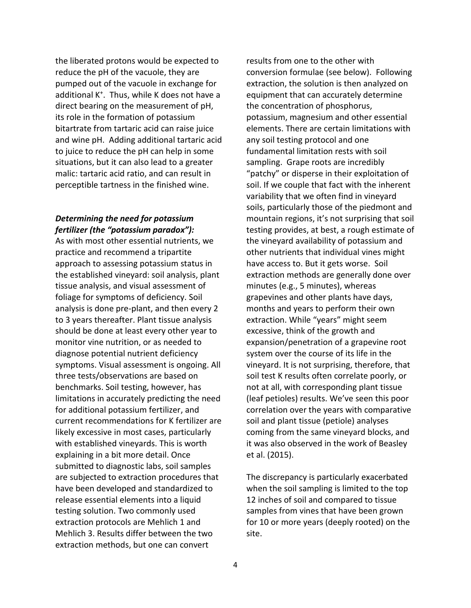the liberated protons would be expected to reduce the pH of the vacuole, they are pumped out of the vacuole in exchange for additional K<sup>+</sup> . Thus, while K does not have a direct bearing on the measurement of pH, its role in the formation of potassium bitartrate from tartaric acid can raise juice and wine pH. Adding additional tartaric acid to juice to reduce the pH can help in some situations, but it can also lead to a greater malic: tartaric acid ratio, and can result in perceptible tartness in the finished wine.

## *Determining the need for potassium fertilizer (the "potassium paradox"):*

As with most other essential nutrients, we practice and recommend a tripartite approach to assessing potassium status in the established vineyard: soil analysis, plant tissue analysis, and visual assessment of foliage for symptoms of deficiency. Soil analysis is done pre-plant, and then every 2 to 3 years thereafter. Plant tissue analysis should be done at least every other year to monitor vine nutrition, or as needed to diagnose potential nutrient deficiency symptoms. Visual assessment is ongoing. All three tests/observations are based on benchmarks. Soil testing, however, has limitations in accurately predicting the need for additional potassium fertilizer, and current recommendations for K fertilizer are likely excessive in most cases, particularly with established vineyards. This is worth explaining in a bit more detail. Once submitted to diagnostic labs, soil samples are subjected to extraction procedures that have been developed and standardized to release essential elements into a liquid testing solution. Two commonly used extraction protocols are Mehlich 1 and Mehlich 3. Results differ between the two extraction methods, but one can convert

results from one to the other with conversion formulae (see below). Following extraction, the solution is then analyzed on equipment that can accurately determine the concentration of phosphorus, potassium, magnesium and other essential elements. There are certain limitations with any soil testing protocol and one fundamental limitation rests with soil sampling. Grape roots are incredibly "patchy" or disperse in their exploitation of soil. If we couple that fact with the inherent variability that we often find in vineyard soils, particularly those of the piedmont and mountain regions, it's not surprising that soil testing provides, at best, a rough estimate of the vineyard availability of potassium and other nutrients that individual vines might have access to. But it gets worse. Soil extraction methods are generally done over minutes (e.g., 5 minutes), whereas grapevines and other plants have days, months and years to perform their own extraction. While "years" might seem excessive, think of the growth and expansion/penetration of a grapevine root system over the course of its life in the vineyard. It is not surprising, therefore, that soil test K results often correlate poorly, or not at all, with corresponding plant tissue (leaf petioles) results. We've seen this poor correlation over the years with comparative soil and plant tissue (petiole) analyses coming from the same vineyard blocks, and it was also observed in the work of Beasley et al. (2015).

The discrepancy is particularly exacerbated when the soil sampling is limited to the top 12 inches of soil and compared to tissue samples from vines that have been grown for 10 or more years (deeply rooted) on the site.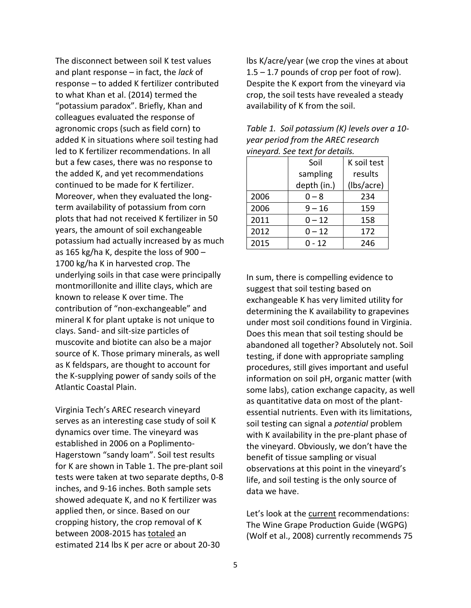The disconnect between soil K test values and plant response – in fact, the *lack* of response – to added K fertilizer contributed to what Khan et al. (2014) termed the "potassium paradox". Briefly, Khan and colleagues evaluated the response of agronomic crops (such as field corn) to added K in situations where soil testing had led to K fertilizer recommendations. In all but a few cases, there was no response to the added K, and yet recommendations continued to be made for K fertilizer. Moreover, when they evaluated the longterm availability of potassium from corn plots that had not received K fertilizer in 50 years, the amount of soil exchangeable potassium had actually increased by as much as 165 kg/ha K, despite the loss of 900 – 1700 kg/ha K in harvested crop. The underlying soils in that case were principally montmorillonite and illite clays, which are known to release K over time. The contribution of "non-exchangeable" and mineral K for plant uptake is not unique to clays. Sand- and silt-size particles of muscovite and biotite can also be a major source of K. Those primary minerals, as well as K feldspars, are thought to account for the K-supplying power of sandy soils of the Atlantic Coastal Plain.

Virginia Tech's AREC research vineyard serves as an interesting case study of soil K dynamics over time. The vineyard was established in 2006 on a Poplimento-Hagerstown "sandy loam". Soil test results for K are shown in Table 1. The pre-plant soil tests were taken at two separate depths, 0-8 inches, and 9-16 inches. Both sample sets showed adequate K, and no K fertilizer was applied then, or since. Based on our cropping history, the crop removal of K between 2008-2015 has totaled an estimated 214 lbs K per acre or about 20-30

lbs K/acre/year (we crop the vines at about  $1.5 - 1.7$  pounds of crop per foot of row). Despite the K export from the vineyard via crop, the soil tests have revealed a steady availability of K from the soil.

| vineyara. See text for aetails. |             |             |  |  |  |
|---------------------------------|-------------|-------------|--|--|--|
|                                 | Soil        | K soil test |  |  |  |
|                                 | sampling    | results     |  |  |  |
|                                 | depth (in.) | (lbs/acre)  |  |  |  |
| 2006                            | $0 - 8$     | 234         |  |  |  |
| 2006                            | $9 - 16$    | 159         |  |  |  |
| 2011                            | $0 - 12$    | 158         |  |  |  |
| 2012                            | $0 - 12$    | 172         |  |  |  |
| 2015                            | $0 - 12$    | 246         |  |  |  |

*Table 1. Soil potassium (K) levels over a 10 year period from the AREC research vineyard. See text for details.*

In sum, there is compelling evidence to suggest that soil testing based on exchangeable K has very limited utility for determining the K availability to grapevines under most soil conditions found in Virginia. Does this mean that soil testing should be abandoned all together? Absolutely not. Soil testing, if done with appropriate sampling procedures, still gives important and useful information on soil pH, organic matter (with some labs), cation exchange capacity, as well as quantitative data on most of the plantessential nutrients. Even with its limitations, soil testing can signal a *potential* problem with K availability in the pre-plant phase of the vineyard. Obviously, we don't have the benefit of tissue sampling or visual observations at this point in the vineyard's life, and soil testing is the only source of data we have.

Let's look at the current recommendations: The Wine Grape Production Guide (WGPG) (Wolf et al., 2008) currently recommends 75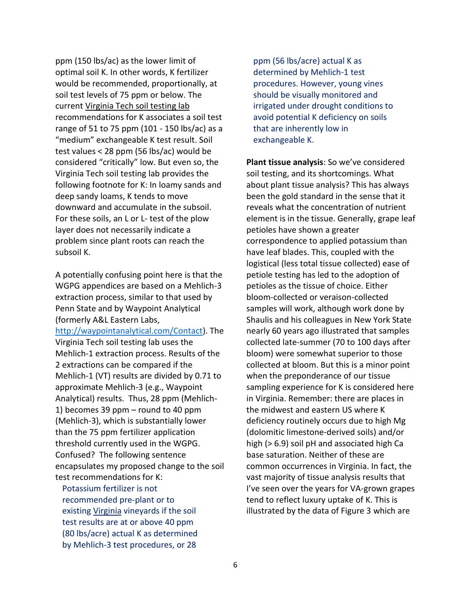ppm (150 lbs/ac) as the lower limit of optimal soil K. In other words, K fertilizer would be recommended, proportionally, at soil test levels of 75 ppm or below. The current Virginia Tech soil testing lab recommendations for K associates a soil test range of 51 to 75 ppm (101 - 150 lbs/ac) as a "medium" exchangeable K test result. Soil test values < 28 ppm (56 lbs/ac) would be considered "critically" low. But even so, the Virginia Tech soil testing lab provides the following footnote for K: In loamy sands and deep sandy loams, K tends to move downward and accumulate in the subsoil. For these soils, an L or L- test of the plow layer does not necessarily indicate a problem since plant roots can reach the subsoil K.

A potentially confusing point here is that the WGPG appendices are based on a Mehlich-3 extraction process, similar to that used by Penn State and by Waypoint Analytical (formerly A&L Eastern Labs, [http://waypointanalytical.com/Contact\)](http://waypointanalytical.com/Contact). The Virginia Tech soil testing lab uses the Mehlich-1 extraction process. Results of the 2 extractions can be compared if the Mehlich-1 (VT) results are divided by 0.71 to approximate Mehlich-3 (e.g., Waypoint Analytical) results. Thus, 28 ppm (Mehlich-1) becomes 39 ppm – round to 40 ppm (Mehlich-3), which is substantially lower than the 75 ppm fertilizer application threshold currently used in the WGPG. Confused? The following sentence encapsulates my proposed change to the soil test recommendations for K:

Potassium fertilizer is not recommended pre-plant or to existing Virginia vineyards if the soil test results are at or above 40 ppm (80 lbs/acre) actual K as determined by Mehlich-3 test procedures, or 28

ppm (56 lbs/acre) actual K as determined by Mehlich-1 test procedures. However, young vines should be visually monitored and irrigated under drought conditions to avoid potential K deficiency on soils that are inherently low in exchangeable K.

**Plant tissue analysis**: So we've considered soil testing, and its shortcomings. What about plant tissue analysis? This has always been the gold standard in the sense that it reveals what the concentration of nutrient element is in the tissue. Generally, grape leaf petioles have shown a greater correspondence to applied potassium than have leaf blades. This, coupled with the logistical (less total tissue collected) ease of petiole testing has led to the adoption of petioles as the tissue of choice. Either bloom-collected or veraison-collected samples will work, although work done by Shaulis and his colleagues in New York State nearly 60 years ago illustrated that samples collected late-summer (70 to 100 days after bloom) were somewhat superior to those collected at bloom. But this is a minor point when the preponderance of our tissue sampling experience for K is considered here in Virginia. Remember: there are places in the midwest and eastern US where K deficiency routinely occurs due to high Mg (dolomitic limestone-derived soils) and/or high (> 6.9) soil pH and associated high Ca base saturation. Neither of these are common occurrences in Virginia. In fact, the vast majority of tissue analysis results that I've seen over the years for VA-grown grapes tend to reflect luxury uptake of K. This is illustrated by the data of Figure 3 which are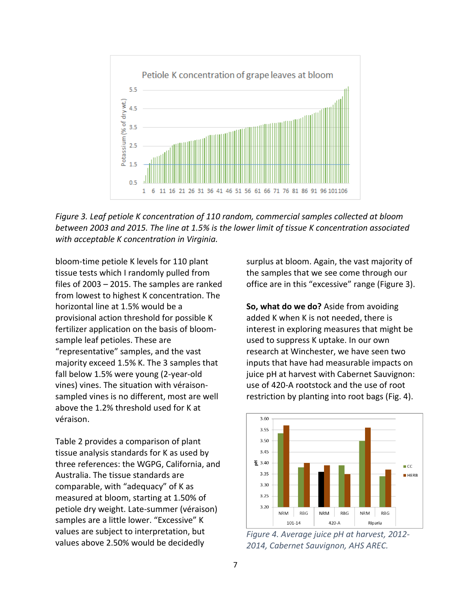

*Figure 3. Leaf petiole K concentration of 110 random, commercial samples collected at bloom between 2003 and 2015. The line at 1.5% is the lower limit of tissue K concentration associated with acceptable K concentration in Virginia.*

bloom-time petiole K levels for 110 plant tissue tests which I randomly pulled from files of 2003 – 2015. The samples are ranked from lowest to highest K concentration. The horizontal line at 1.5% would be a provisional action threshold for possible K fertilizer application on the basis of bloomsample leaf petioles. These are "representative" samples, and the vast majority exceed 1.5% K. The 3 samples that fall below 1.5% were young (2-year-old vines) vines. The situation with véraisonsampled vines is no different, most are well above the 1.2% threshold used for K at véraison.

Table 2 provides a comparison of plant tissue analysis standards for K as used by three references: the WGPG, California, and Australia. The tissue standards are comparable, with "adequacy" of K as measured at bloom, starting at 1.50% of petiole dry weight. Late-summer (véraison) samples are a little lower. "Excessive" K values are subject to interpretation, but values above 2.50% would be decidedly

surplus at bloom. Again, the vast majority of the samples that we see come through our office are in this "excessive" range (Figure 3).

**So, what do we do?** Aside from avoiding added K when K is not needed, there is interest in exploring measures that might be used to suppress K uptake. In our own research at Winchester, we have seen two inputs that have had measurable impacts on juice pH at harvest with Cabernet Sauvignon: use of 420-A rootstock and the use of root restriction by planting into root bags (Fig. 4).



*Figure 4. Average juice pH at harvest, 2012- 2014, Cabernet Sauvignon, AHS AREC.*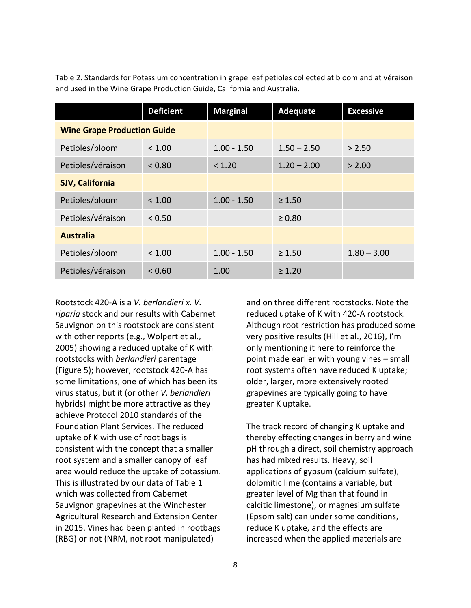Table 2. Standards for Potassium concentration in grape leaf petioles collected at bloom and at véraison and used in the Wine Grape Production Guide, California and Australia.

|                                    | <b>Deficient</b> | <b>Marginal</b> | <b>Adequate</b> | <b>Excessive</b> |
|------------------------------------|------------------|-----------------|-----------------|------------------|
| <b>Wine Grape Production Guide</b> |                  |                 |                 |                  |
| Petioles/bloom                     | < 1.00           | $1.00 - 1.50$   | $1.50 - 2.50$   | > 2.50           |
| Petioles/véraison                  | < 0.80           | < 1.20          | $1.20 - 2.00$   | > 2.00           |
| <b>SJV, California</b>             |                  |                 |                 |                  |
| Petioles/bloom                     | < 1.00           | $1.00 - 1.50$   | $\geq 1.50$     |                  |
| Petioles/véraison                  | < 0.50           |                 | $\geq 0.80$     |                  |
| <b>Australia</b>                   |                  |                 |                 |                  |
| Petioles/bloom                     | < 1.00           | $1.00 - 1.50$   | $\geq 1.50$     | $1.80 - 3.00$    |
| Petioles/véraison                  | < 0.60           | 1.00            | $\geq 1.20$     |                  |

Rootstock 420-A is a *V. berlandieri x. V. riparia* stock and our results with Cabernet Sauvignon on this rootstock are consistent with other reports (e.g., Wolpert et al., 2005) showing a reduced uptake of K with rootstocks with *berlandieri* parentage (Figure 5); however, rootstock 420-A has some limitations, one of which has been its virus status, but it (or other *V. berlandieri* hybrids) might be more attractive as they achieve Protocol 2010 standards of the Foundation Plant Services. The reduced uptake of K with use of root bags is consistent with the concept that a smaller root system and a smaller canopy of leaf area would reduce the uptake of potassium. This is illustrated by our data of Table 1 which was collected from Cabernet Sauvignon grapevines at the Winchester Agricultural Research and Extension Center in 2015. Vines had been planted in rootbags (RBG) or not (NRM, not root manipulated)

and on three different rootstocks. Note the reduced uptake of K with 420-A rootstock. Although root restriction has produced some very positive results (Hill et al., 2016), I'm only mentioning it here to reinforce the point made earlier with young vines – small root systems often have reduced K uptake; older, larger, more extensively rooted grapevines are typically going to have greater K uptake.

The track record of changing K uptake and thereby effecting changes in berry and wine pH through a direct, soil chemistry approach has had mixed results. Heavy, soil applications of gypsum (calcium sulfate), dolomitic lime (contains a variable, but greater level of Mg than that found in calcitic limestone), or magnesium sulfate (Epsom salt) can under some conditions, reduce K uptake, and the effects are increased when the applied materials are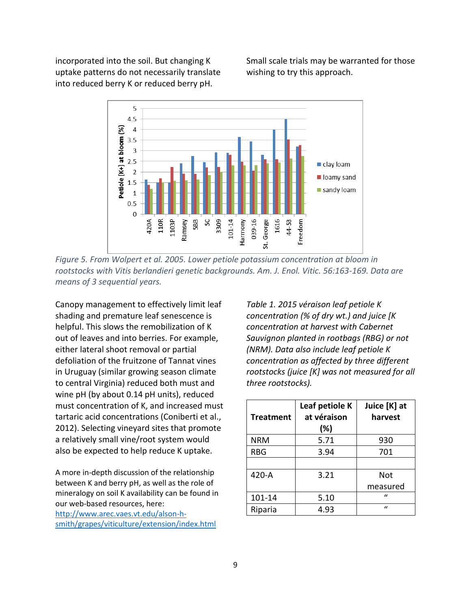incorporated into the soil. But changing K uptake patterns do not necessarily translate into reduced berry K or reduced berry pH.

Small scale trials may be warranted for those wishing to try this approach.



*Figure 5. From Wolpert et al. 2005. Lower petiole potassium concentration at bloom in rootstocks with Vitis berlandieri genetic backgrounds. Am. J. Enol. Vitic. 56:163-169. Data are means of 3 sequential years.*

Canopy management to effectively limit leaf shading and premature leaf senescence is helpful. This slows the remobilization of K out of leaves and into berries. For example, either lateral shoot removal or partial defoliation of the fruitzone of Tannat vines in Uruguay (similar growing season climate to central Virginia) reduced both must and wine pH (by about 0.14 pH units), reduced must concentration of K, and increased must tartaric acid concentrations (Coniberti et al., 2012). Selecting vineyard sites that promote a relatively small vine/root system would also be expected to help reduce K uptake.

A more in-depth discussion of the relationship between K and berry pH, as well as the role of mineralogy on soil K availability can be found in our web-based resources, here: [http://www.arec.vaes.vt.edu/alson-h](http://www.arec.vaes.vt.edu/alson-h-smith/grapes/viticulture/extension/index.html)[smith/grapes/viticulture/extension/index.html](http://www.arec.vaes.vt.edu/alson-h-smith/grapes/viticulture/extension/index.html)

*Table 1. 2015 véraison leaf petiole K concentration (% of dry wt.) and juice [K concentration at harvest with Cabernet Sauvignon planted in rootbags (RBG) or not (NRM). Data also include leaf petiole K concentration as affected by three different rootstocks (juice [K] was not measured for all three rootstocks).*

| <b>Treatment</b> | Leaf petiole K<br>at véraison<br>$(\%)$ | Juice [K] at<br>harvest |
|------------------|-----------------------------------------|-------------------------|
| <b>NRM</b>       | 5.71                                    | 930                     |
| <b>RBG</b>       | 3.94                                    | 701                     |
|                  |                                         |                         |
| 420-A            | 3.21                                    | Not                     |
|                  |                                         | measured                |
| 101-14           | 5.10                                    | $\mathbf{u}$            |
| Riparia          | 4.93                                    | $\mathbf{u}$            |